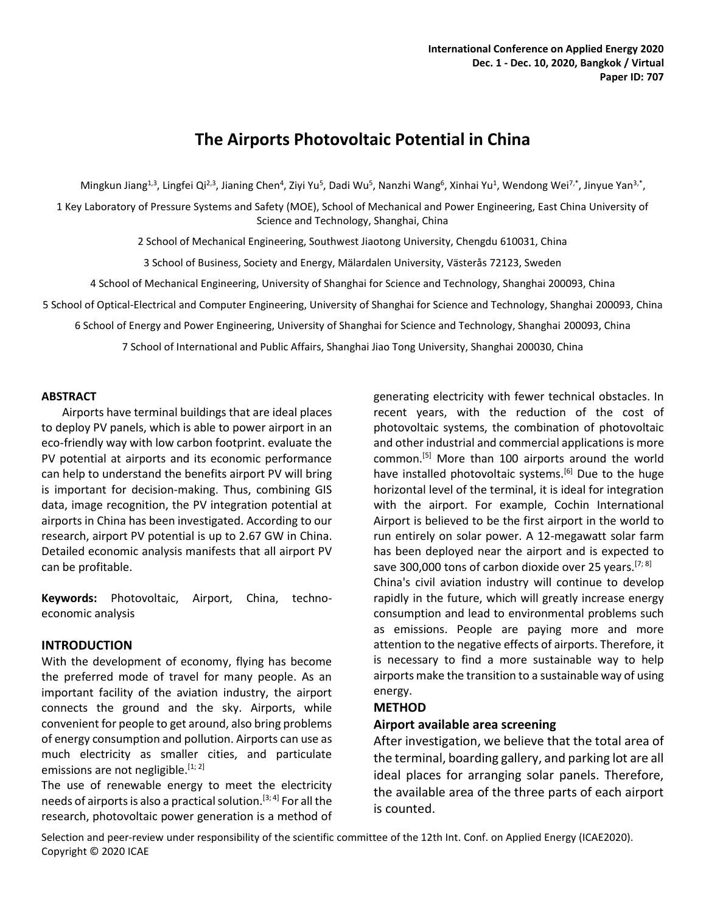# **The Airports Photovoltaic Potential in China**

Mingkun Jiang<sup>1,3</sup>, Lingfei Qi<sup>2,3</sup>, Jianing Chen<sup>4</sup>, Ziyi Yu<sup>5</sup>, Dadi Wu<sup>5</sup>, Nanzhi Wang<sup>6</sup>, Xinhai Yu<sup>1</sup>, Wendong Wei<sup>7,\*</sup>, Jinyue Yan<sup>3,\*</sup>,

1 Key Laboratory of Pressure Systems and Safety (MOE), School of Mechanical and Power Engineering, East China University of Science and Technology, Shanghai, China

2 School of Mechanical Engineering, Southwest Jiaotong University, Chengdu 610031, China

3 School of Business, Society and Energy, Mälardalen University, Västerås 72123, Sweden

4 School of Mechanical Engineering, University of Shanghai for Science and Technology, Shanghai 200093, China

5 School of Optical-Electrical and Computer Engineering, University of Shanghai for Science and Technology, Shanghai 200093, China

6 School of Energy and Power Engineering, University of Shanghai for Science and Technology, Shanghai 200093, China

7 School of International and Public Affairs, Shanghai Jiao Tong University, Shanghai 200030, China

#### **ABSTRACT**

Airports have terminal buildings that are ideal places to deploy PV panels, which is able to power airport in an eco-friendly way with low carbon footprint. evaluate the PV potential at airports and its economic performance can help to understand the benefits airport PV will bring is important for decision-making. Thus, combining GIS data, image recognition, the PV integration potential at airports in China has been investigated. According to our research, airport PV potential is up to 2.67 GW in China. Detailed economic analysis manifests that all airport PV can be profitable.

**Keywords:** Photovoltaic, Airport, China, technoeconomic analysis

#### **INTRODUCTION**

With the development of economy, flying has become the preferred mode of travel for many people. As an important facility of the aviation industry, the airport connects the ground and the sky. Airports, while convenient for people to get around, also bring problems of energy consumption and pollution. Airports can use as much electricity as smaller cities, and particulate emissions are not negligible.  $[1, 2]$ 

The use of renewable energy to meet the electricity needs of airports is also a practical solution.<sup>[3; 4]</sup> For all the research, photovoltaic power generation is a method of

generating electricity with fewer technical obstacles. In recent years, with the reduction of the cost of photovoltaic systems, the combination of photovoltaic and other industrial and commercial applications is more common.[5] More than 100 airports around the world have installed photovoltaic systems.<sup>[6]</sup> Due to the huge horizontal level of the terminal, it is ideal for integration with the airport. For example, Cochin International Airport is believed to be the first airport in the world to run entirely on solar power. A 12-megawatt solar farm has been deployed near the airport and is expected to save 300,000 tons of carbon dioxide over 25 years.  $[7, 8]$ China's civil aviation industry will continue to develop rapidly in the future, which will greatly increase energy consumption and lead to environmental problems such as emissions. People are paying more and more

attention to the negative effects of airports. Therefore, it is necessary to find a more sustainable way to help airports make the transition to a sustainable way of using energy.

## **METHOD**

#### **Airport available area screening**

After investigation, we believe that the total area of the terminal, boarding gallery, and parking lot are all ideal places for arranging solar panels. Therefore, the available area of the three parts of each airport is counted.

Selection and peer-review under responsibility of the scientific committee of the 12th Int. Conf. on Applied Energy (ICAE2020). Copyright © 2020 ICAE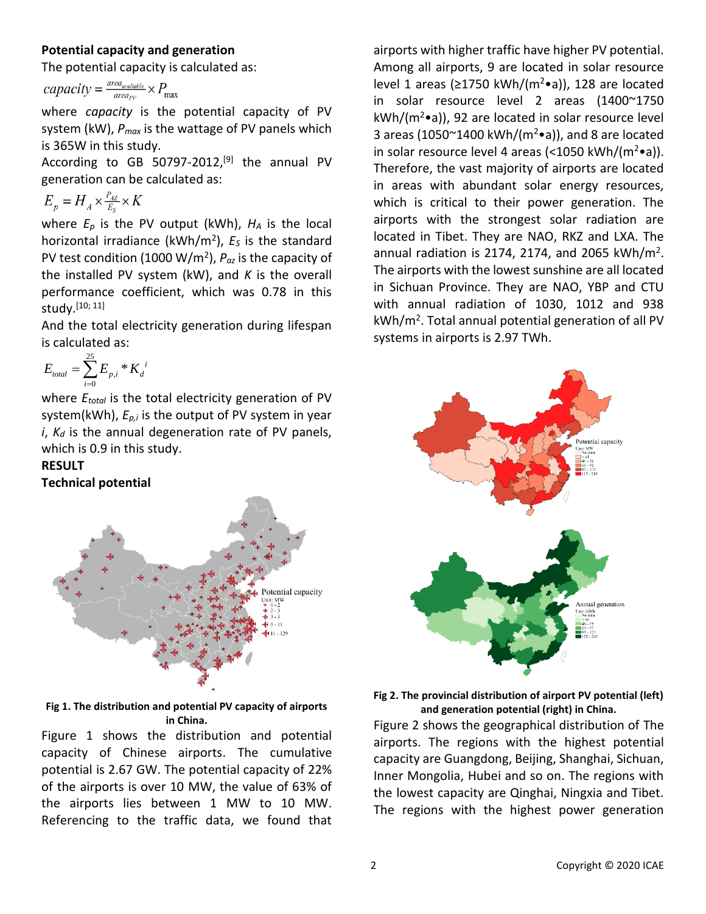# **Potential capacity and generation**

The potential capacity is calculated as:

$$
capacity = \frac{area_{available}}{area_{pv}} \times P_{max}
$$

where *capacity* is the potential capacity of PV system (kW), *Pmax* is the wattage of PV panels which is 365W in this study.

According to GB 50797-2012,<sup>[9]</sup> the annual PV generation can be calculated as:

$$
E_p = H_A \times \frac{P_{AZ}}{E_S} \times K
$$

where *E<sup>p</sup>* is the PV output (kWh), *H<sup>A</sup>* is the local horizontal irradiance (kWh/m<sup>2</sup> ), *E<sup>S</sup>* is the standard PV test condition (1000 W/m<sup>2</sup> ), *Paz* is the capacity of the installed PV system (kW), and *K* is the overall performance coefficient, which was 0.78 in this study.[10; 11]

And the total electricity generation during lifespan is calculated as:

$$
E_{total} = \sum_{i=0}^{25} E_{p,i} * K_d^{i}
$$

where *Etotal* is the total electricity generation of PV system(kWh), *Ep,i* is the output of PV system in year *i*, *K<sup>d</sup>* is the annual degeneration rate of PV panels, which is 0.9 in this study.

# **RESULT**

**Technical potential**



**Fig 1. The distribution and potential PV capacity of airports in China.**

Figure 1 shows the distribution and potential capacity of Chinese airports. The cumulative potential is 2.67 GW. The potential capacity of 22% of the airports is over 10 MW, the value of 63% of the airports lies between 1 MW to 10 MW. Referencing to the traffic data, we found that airports with higher traffic have higher PV potential. Among all airports, 9 are located in solar resource level 1 areas (≥1750 kWh/(m<sup>2</sup>•a)), 128 are located in solar resource level 2 areas (1400~1750  $kWh/(m^2\bullet a)$ , 92 are located in solar resource level 3 areas (1050 $\textdegree$ 1400 kWh/(m<sup>2</sup> $\bullet$ a)), and 8 are located in solar resource level 4 areas (<1050 kWh/( $m^2 \cdot a$ )). Therefore, the vast majority of airports are located in areas with abundant solar energy resources, which is critical to their power generation. The airports with the strongest solar radiation are located in Tibet. They are NAO, RKZ and LXA. The annual radiation is 2174, 2174, and 2065  $kWh/m<sup>2</sup>$ . The airports with the lowest sunshine are all located in Sichuan Province. They are NAO, YBP and CTU with annual radiation of 1030, 1012 and 938 kWh/m<sup>2</sup> . Total annual potential generation of all PV systems in airports is 2.97 TWh.



**Fig 2. The provincial distribution of airport PV potential (left) and generation potential (right) in China.**

Figure 2 shows the geographical distribution of The airports. The regions with the highest potential capacity are Guangdong, Beijing, Shanghai, Sichuan, Inner Mongolia, Hubei and so on. The regions with the lowest capacity are Qinghai, Ningxia and Tibet. The regions with the highest power generation